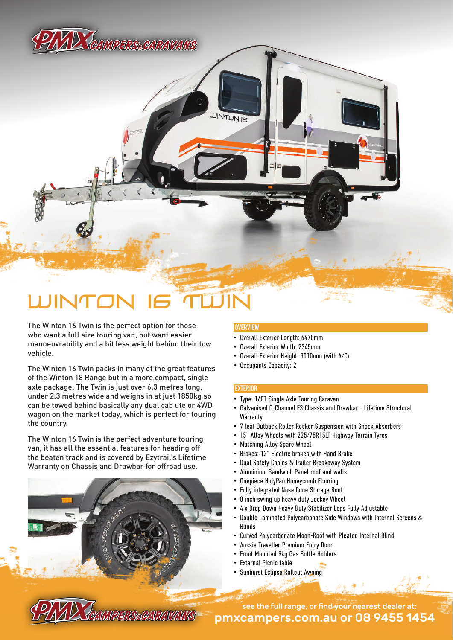# PIYAD TAMAPERS CARAVA

## WINTON 16 TWIN

The Winton 16 Twin is the perfect option for those who want a full size touring van, but want easier manoeuvrability and a bit less weight behind their tow vehicle.

The Winton 16 Twin packs in many of the great features of the Winton 18 Range but in a more compact, single axle package. The Twin is just over 6.3 metres long, under 2.3 metres wide and weighs in at just 1850kg so can be towed behind basically any dual cab ute or 4WD wagon on the market today, which is perfect for touring the country.

The Winton 16 Twin is the perfect adventure touring van, it has all the essential features for heading off the beaten track and is covered by Ezytrail's Lifetime Warranty on Chassis and Drawbar for offroad use.

### **OVERVIEW**

**INTON IR** 

- Overall Exterior Length: 6470mm
- Overall Exterior Width: 2345mm
- Overall Exterior Height: 3010mm (with A/C)
- Occupants Capacity: 2

#### **EXTERIOR**

- Type: 16FT Single Axle Touring Caravan
- Galvanised C-Channel F3 Chassis and Drawbar Lifetime Structural **Warranty**
- 7 leaf Outback Roller Rocker Suspension with Shock Absorbers
- 15" Alloy Wheels with 235/75R15LT Highway Terrain Tyres
- Matching Alloy Spare Wheel
- Brakes: 12" Electric brakes with Hand Brake
- Dual Safety Chains & Trailer Breakaway System
- Aluminium Sandwich Panel roof and walls
- Onepiece HolyPan Honeycomb Flooring
- Fully integrated Nose Cone Storage Boot
- 8 inch swing up heavy duty Jockey Wheel
- 4 x Drop Down Heavy Duty Stabilizer Legs Fully Adjustable
- Double Laminated Polycarbonate Side Windows with Internal Screens & Blinds
- Curved Polycarbonate Moon-Roof with Pleated Internal Blind
- Aussie Traveller Premium Entry Door
- Front Mounted 9kg Gas Bottle Holders
- External Picnic table
- Sunburst Eclipse Rollout Awning

pmxcampers.com.au or 08 9455 1454 see the full range, or find your nearest dealer at: